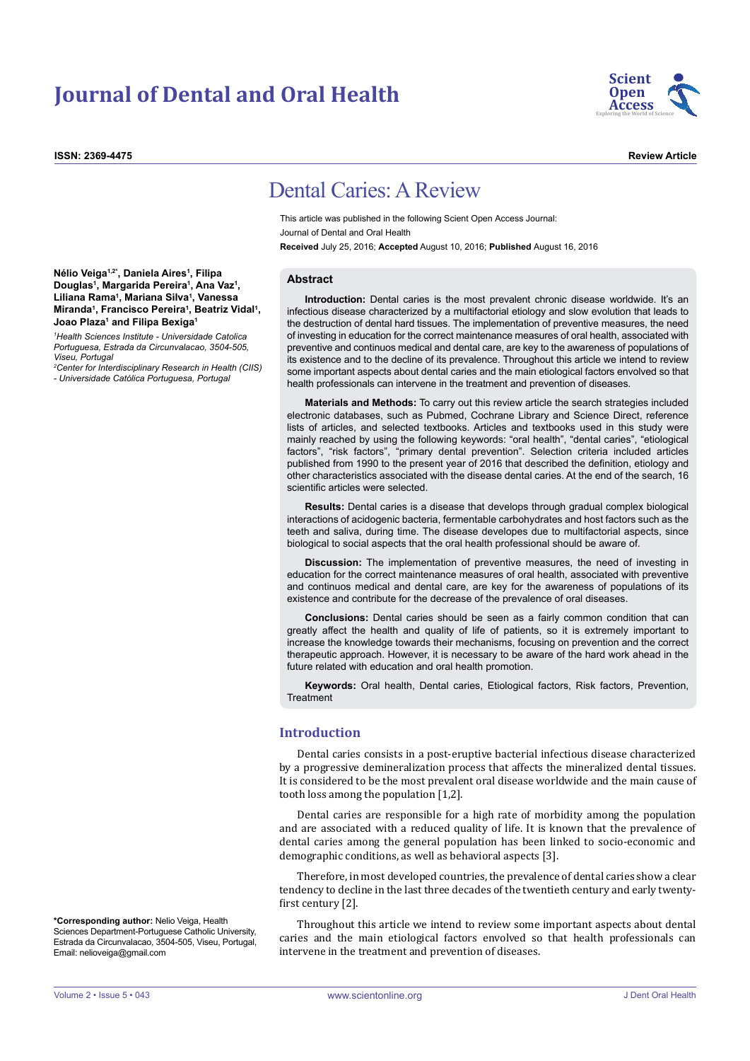# **Journal of Dental and Oral Health**

**ISSN: 2369-4475 Review Article**



# Dental Caries: A Review

This article was published in the following Scient Open Access Journal: Journal of Dental and Oral Health **Received** July 25, 2016; **Accepted** August 10, 2016; **Published** August 16, 2016

### **Abstract**

**Introduction:** Dental caries is the most prevalent chronic disease worldwide. It's an infectious disease characterized by a multifactorial etiology and slow evolution that leads to the destruction of dental hard tissues. The implementation of preventive measures, the need of investing in education for the correct maintenance measures of oral health, associated with preventive and continuos medical and dental care, are key to the awareness of populations of its existence and to the decline of its prevalence. Throughout this article we intend to review some important aspects about dental caries and the main etiological factors envolved so that health professionals can intervene in the treatment and prevention of diseases.

**Materials and Methods:** To carry out this review article the search strategies included electronic databases, such as Pubmed, Cochrane Library and Science Direct, reference lists of articles, and selected textbooks. Articles and textbooks used in this study were mainly reached by using the following keywords: "oral health", "dental caries", "etiological factors", "risk factors", "primary dental prevention". Selection criteria included articles published from 1990 to the present year of 2016 that described the definition, etiology and other characteristics associated with the disease dental caries. At the end of the search, 16 scientific articles were selected.

**Results:** Dental caries is a disease that develops through gradual complex biological interactions of acidogenic bacteria, fermentable carbohydrates and host factors such as the teeth and saliva, during time. The disease developes due to multifactorial aspects, since biological to social aspects that the oral health professional should be aware of.

**Discussion:** The implementation of preventive measures, the need of investing in education for the correct maintenance measures of oral health, associated with preventive and continuos medical and dental care, are key for the awareness of populations of its existence and contribute for the decrease of the prevalence of oral diseases.

**Conclusions:** Dental caries should be seen as a fairly common condition that can greatly affect the health and quality of life of patients, so it is extremely important to increase the knowledge towards their mechanisms, focusing on prevention and the correct therapeutic approach. However, it is necessary to be aware of the hard work ahead in the future related with education and oral health promotion.

**Keywords:** Oral health, Dental caries, Etiological factors, Risk factors, Prevention, Treatment

## **Introduction**

Dental caries consists in a post-eruptive bacterial infectious disease characterized by a progressive demineralization process that affects the mineralized dental tissues. It is considered to be the most prevalent oral disease worldwide and the main cause of tooth loss among the population [1,2].

Dental caries are responsible for a high rate of morbidity among the population and are associated with a reduced quality of life. It is known that the prevalence of dental caries among the general population has been linked to socio-economic and demographic conditions, as well as behavioral aspects [3].

Therefore, in most developed countries, the prevalence of dental caries show a clear tendency to decline in the last three decades of the twentieth century and early twentyfirst century [2].

Throughout this article we intend to review some important aspects about dental caries and the main etiological factors envolved so that health professionals can intervene in the treatment and prevention of diseases.

**Nélio Veiga1,2\*, Daniela Aires1 , Filipa Douglas1 , Margarida Pereira1 , Ana Vaz1 , Liliana Rama1 , Mariana Silva1 , Vanessa Miranda1 , Francisco Pereira1 , Beatriz Vidal1 , Joao Plaza1 and Filipa Bexiga1**

*1 Health Sciences Institute - Universidade Catolica Portuguesa, Estrada da Circunvalacao, 3504-505, Viseu, Portugal*

*2 Center for Interdisciplinary Research in Health (CIIS) - Universidade Católica Portuguesa, Portugal*

**\*Corresponding author:** Nelio Veiga, Health Sciences Department-Portuguese Catholic University, Estrada da Circunvalacao, 3504-505, Viseu, Portugal, Email: nelioveiga@gmail.com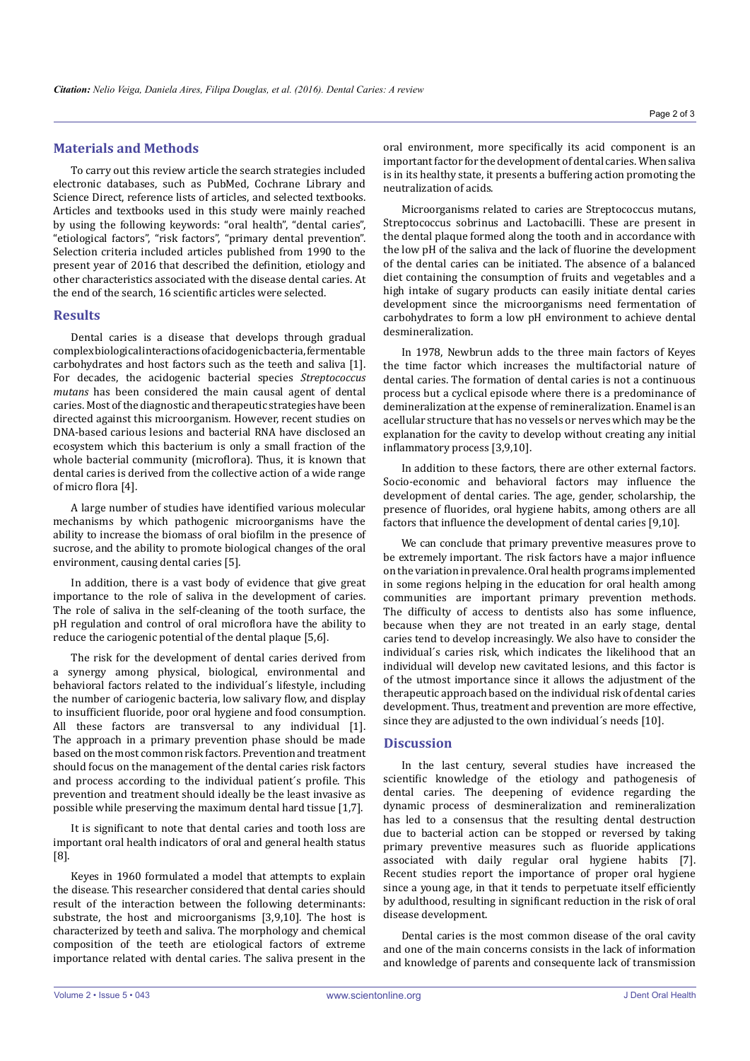# **Materials and Methods**

To carry out this review article the search strategies included electronic databases, such as PubMed, Cochrane Library and Science Direct, reference lists of articles, and selected textbooks. Articles and textbooks used in this study were mainly reached by using the following keywords: "oral health", "dental caries", "etiological factors", "risk factors", "primary dental prevention". Selection criteria included articles published from 1990 to the present year of 2016 that described the definition, etiology and other characteristics associated with the disease dental caries. At the end of the search, 16 scientific articles were selected.

## **Results**

Dental caries is a disease that develops through gradual complex biological interactions of acidogenic bacteria, fermentable carbohydrates and host factors such as the teeth and saliva [1]. For decades, the acidogenic bacterial species *Streptococcus mutans* has been considered the main causal agent of dental caries. Most of the diagnostic and therapeutic strategies have been directed against this microorganism. However, recent studies on DNA-based carious lesions and bacterial RNA have disclosed an ecosystem which this bacterium is only a small fraction of the whole bacterial community (microflora). Thus, it is known that dental caries is derived from the collective action of a wide range of micro flora [4].

A large number of studies have identified various molecular mechanisms by which pathogenic microorganisms have the ability to increase the biomass of oral biofilm in the presence of sucrose, and the ability to promote biological changes of the oral environment, causing dental caries [5].

In addition, there is a vast body of evidence that give great importance to the role of saliva in the development of caries. The role of saliva in the self-cleaning of the tooth surface, the pH regulation and control of oral microflora have the ability to reduce the cariogenic potential of the dental plaque [5,6].

The risk for the development of dental caries derived from a synergy among physical, biological, environmental and behavioral factors related to the individual´s lifestyle, including the number of cariogenic bacteria, low salivary flow, and display to insufficient fluoride, poor oral hygiene and food consumption. All these factors are transversal to any individual [1]. The approach in a primary prevention phase should be made based on the most common risk factors. Prevention and treatment should focus on the management of the dental caries risk factors and process according to the individual patient´s profile. This prevention and treatment should ideally be the least invasive as possible while preserving the maximum dental hard tissue [1,7].

It is significant to note that dental caries and tooth loss are important oral health indicators of oral and general health status [8].

Keyes in 1960 formulated a model that attempts to explain the disease. This researcher considered that dental caries should result of the interaction between the following determinants: substrate, the host and microorganisms [3,9,10]. The host is characterized by teeth and saliva. The morphology and chemical composition of the teeth are etiological factors of extreme importance related with dental caries. The saliva present in the oral environment, more specifically its acid component is an important factor for the development of dental caries. When saliva is in its healthy state, it presents a buffering action promoting the neutralization of acids.

Microorganisms related to caries are Streptococcus mutans, Streptococcus sobrinus and Lactobacilli. These are present in the dental plaque formed along the tooth and in accordance with the low pH of the saliva and the lack of fluorine the development of the dental caries can be initiated. The absence of a balanced diet containing the consumption of fruits and vegetables and a high intake of sugary products can easily initiate dental caries development since the microorganisms need fermentation of carbohydrates to form a low pH environment to achieve dental desmineralization.

In 1978, Newbrun adds to the three main factors of Keyes the time factor which increases the multifactorial nature of dental caries. The formation of dental caries is not a continuous process but a cyclical episode where there is a predominance of demineralization at the expense of remineralization. Enamel is an acellular structure that has no vessels or nerves which may be the explanation for the cavity to develop without creating any initial inflammatory process [3,9,10].

In addition to these factors, there are other external factors. Socio-economic and behavioral factors may influence the development of dental caries. The age, gender, scholarship, the presence of fluorides, oral hygiene habits, among others are all factors that influence the development of dental caries [9,10].

We can conclude that primary preventive measures prove to be extremely important. The risk factors have a major influence on the variation in prevalence. Oral health programs implemented in some regions helping in the education for oral health among communities are important primary prevention methods. The difficulty of access to dentists also has some influence, because when they are not treated in an early stage, dental caries tend to develop increasingly. We also have to consider the individual´s caries risk, which indicates the likelihood that an individual will develop new cavitated lesions, and this factor is of the utmost importance since it allows the adjustment of the therapeutic approach based on the individual risk of dental caries development. Thus, treatment and prevention are more effective, since they are adjusted to the own individual´s needs [10].

## **Discussion**

In the last century, several studies have increased the scientific knowledge of the etiology and pathogenesis of dental caries. The deepening of evidence regarding the dynamic process of desmineralization and remineralization has led to a consensus that the resulting dental destruction due to bacterial action can be stopped or reversed by taking primary preventive measures such as fluoride applications associated with daily regular oral hygiene habits [7]. Recent studies report the importance of proper oral hygiene since a young age, in that it tends to perpetuate itself efficiently by adulthood, resulting in significant reduction in the risk of oral disease development.

Dental caries is the most common disease of the oral cavity and one of the main concerns consists in the lack of information and knowledge of parents and consequente lack of transmission